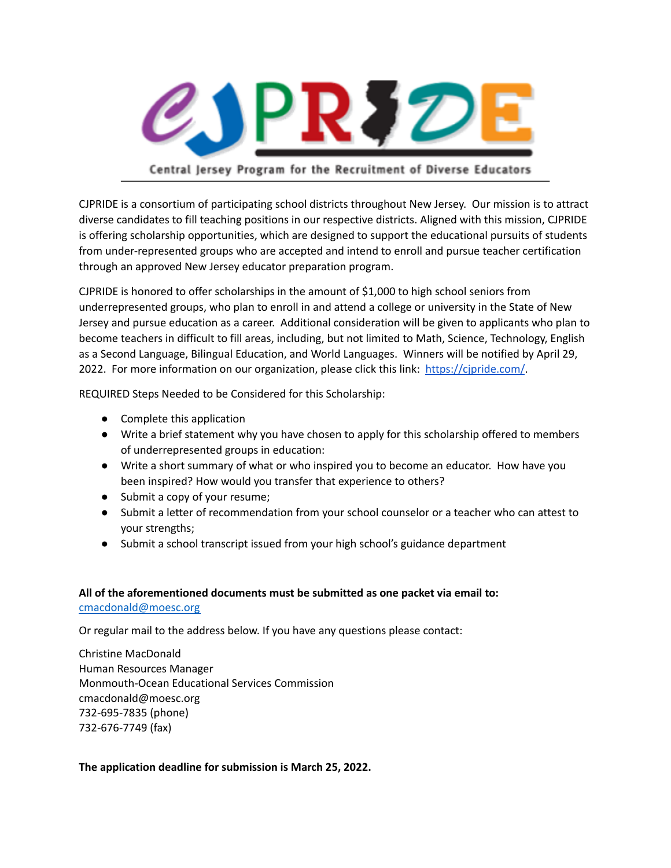

## Central Jersey Program for the Recruitment of Diverse Educators

CJPRIDE is a consortium of participating school districts throughout New Jersey. Our mission is to attract diverse candidates to fill teaching positions in our respective districts. Aligned with this mission, CJPRIDE is offering scholarship opportunities, which are designed to support the educational pursuits of students from under-represented groups who are accepted and intend to enroll and pursue teacher certification through an approved New Jersey educator preparation program.

CJPRIDE is honored to offer scholarships in the amount of \$1,000 to high school seniors from underrepresented groups, who plan to enroll in and attend a college or university in the State of New Jersey and pursue education as a career. Additional consideration will be given to applicants who plan to become teachers in difficult to fill areas, including, but not limited to Math, Science, Technology, English as a Second Language, Bilingual Education, and World Languages. Winners will be notified by April 29, 2022. For more information on our organization, please click this link: <https://cjpride.com/>.

REQUIRED Steps Needed to be Considered for this Scholarship:

- Complete this application
- Write a brief statement why you have chosen to apply for this scholarship offered to members of underrepresented groups in education:
- Write a short summary of what or who inspired you to become an educator. How have you been inspired? How would you transfer that experience to others?
- Submit a copy of your resume;
- Submit a letter of recommendation from your school counselor or a teacher who can attest to your strengths;
- Submit a school transcript issued from your high school's guidance department

#### **All of the aforementioned documents must be submitted as one packet via email to:**

#### [cmacdonald@moesc.org](mailto:cmacdonald@moesc.org)

Or regular mail to the address below. If you have any questions please contact:

Christine MacDonald Human Resources Manager Monmouth-Ocean Educational Services Commission cmacdonald@moesc.org 732-695-7835 (phone) 732-676-7749 (fax)

#### **The application deadline for submission is March 25, 2022.**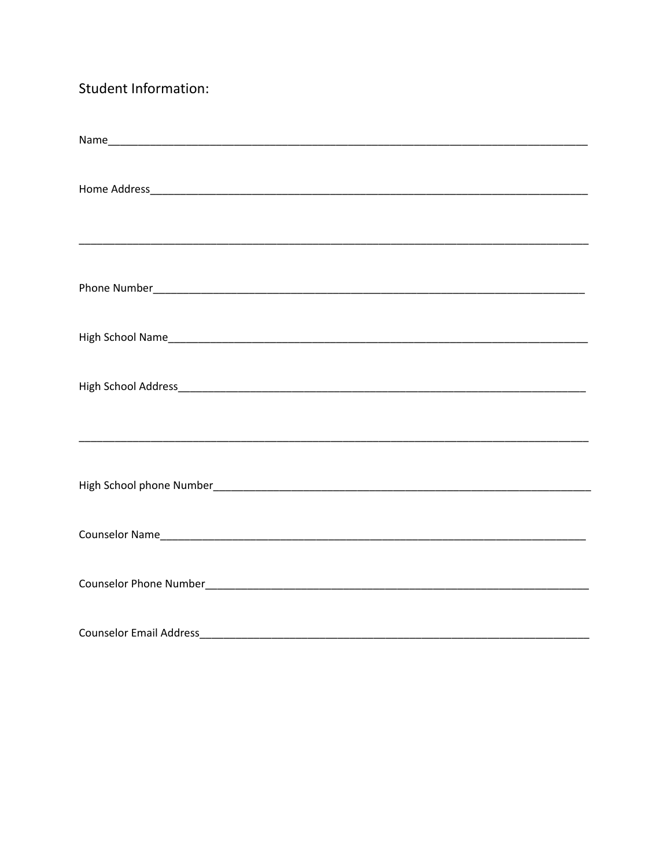# Student Information:

| <b>Counselor Email Address</b> |  |
|--------------------------------|--|